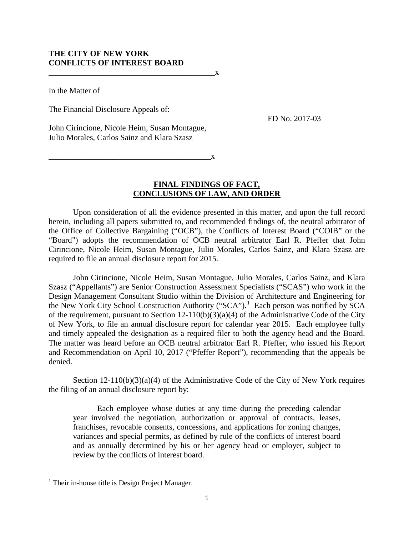## **THE CITY OF NEW YORK CONFLICTS OF INTEREST BOARD**

 $\mathbf{x}$ 

In the Matter of

The Financial Disclosure Appeals of:

FD No. 2017-03

John Cirincione, Nicole Heim, Susan Montague, Julio Morales, Carlos Sainz and Klara Szasz

\_\_\_\_\_\_\_\_\_\_\_\_\_\_\_\_\_\_\_\_\_\_\_\_\_\_\_\_\_\_\_\_\_\_\_\_\_\_\_\_x

## **FINAL FINDINGS OF FACT, CONCLUSIONS OF LAW, AND ORDER**

Upon consideration of all the evidence presented in this matter, and upon the full record herein, including all papers submitted to, and recommended findings of, the neutral arbitrator of the Office of Collective Bargaining ("OCB"), the Conflicts of Interest Board ("COIB" or the "Board") adopts the recommendation of OCB neutral arbitrator Earl R. Pfeffer that John Cirincione, Nicole Heim, Susan Montague, Julio Morales, Carlos Sainz, and Klara Szasz are required to file an annual disclosure report for 2015.

John Cirincione, Nicole Heim, Susan Montague, Julio Morales, Carlos Sainz, and Klara Szasz ("Appellants") are Senior Construction Assessment Specialists ("SCAS") who work in the Design Management Consultant Studio within the Division of Architecture and Engineering for the New York City School Construction Authority ("SCA").<sup>[1](#page-0-0)</sup> Each person was notified by SCA of the requirement, pursuant to Section  $12-110(b)(3)(a)(4)$  of the Administrative Code of the City of New York, to file an annual disclosure report for calendar year 2015. Each employee fully and timely appealed the designation as a required filer to both the agency head and the Board. The matter was heard before an OCB neutral arbitrator Earl R. Pfeffer, who issued his Report and Recommendation on April 10, 2017 ("Pfeffer Report"), recommending that the appeals be denied.

Section  $12-110(b)(3)(a)(4)$  of the Administrative Code of the City of New York requires the filing of an annual disclosure report by:

Each employee whose duties at any time during the preceding calendar year involved the negotiation, authorization or approval of contracts, leases, franchises, revocable consents, concessions, and applications for zoning changes, variances and special permits, as defined by rule of the conflicts of interest board and as annually determined by his or her agency head or employer, subject to review by the conflicts of interest board.

l

<span id="page-0-0"></span> $<sup>1</sup>$  Their in-house title is Design Project Manager.</sup>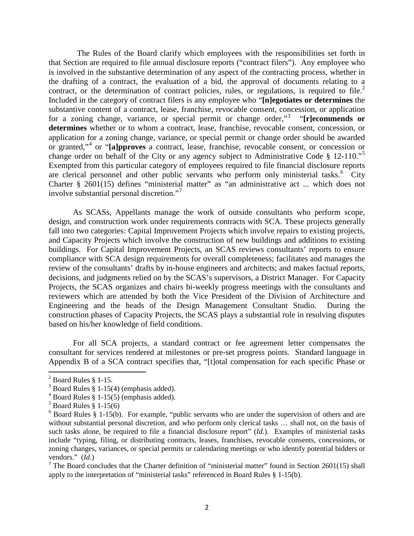The Rules of the Board clarify which employees with the responsibilities set forth in that Section are required to file annual disclosure reports ("contract filers"). Any employee who is involved in the substantive determination of any aspect of the contracting process, whether in the drafting of a contract, the evaluation of a bid, the approval of documents relating to a contract, or the determination of contract policies, rules, or regulations, is required to file.<sup>[2](#page-1-0)</sup> Included in the category of contract filers is any employee who "**[n]egotiates or determines** the substantive content of a contract, lease, franchise, revocable consent, concession, or application for a zoning change, variance, or special permit or change order,"<sup>[3](#page-1-1)</sup> "[r]ecommends or **determines** whether or to whom a contract, lease, franchise, revocable consent, concession, or application for a zoning change, variance, or special permit or change order should be awarded or granted,"[4](#page-1-2) or "**[a]pproves** a contract, lease, franchise, revocable consent, or concession or change order on behalf of the City or any agency subject to Administrative Code § 12-110."<sup>[5](#page-1-3)</sup> Exempted from this particular category of employees required to file financial disclosure reports are clerical personnel and other public servants who perform only ministerial tasks.<sup>[6](#page-1-4)</sup> City Charter § 2601(15) defines "ministerial matter" as "an administrative act ... which does not involve substantial personal discretion."[7](#page-1-5)

As SCASs, Appellants manage the work of outside consultants who perform scope, design, and construction work under requirements contracts with SCA. These projects generally fall into two categories: Capital Improvement Projects which involve repairs to existing projects, and Capacity Projects which involve the construction of new buildings and additions to existing buildings. For Capital Improvement Projects, an SCAS reviews consultants' reports to ensure compliance with SCA design requirements for overall completeness; facilitates and manages the review of the consultants' drafts by in-house engineers and architects; and makes factual reports, decisions, and judgments relied on by the SCAS's supervisors, a District Manager. For Capacity Projects, the SCAS organizes and chairs bi-weekly progress meetings with the consultants and reviewers which are attended by both the Vice President of the Division of Architecture and Engineering and the heads of the Design Management Consultant Studio. During the construction phases of Capacity Projects, the SCAS plays a substantial role in resolving disputes based on his/her knowledge of field conditions.

For all SCA projects, a standard contract or fee agreement letter compensates the consultant for services rendered at milestones or pre-set progress points. Standard language in Appendix B of a SCA contract specifies that, "[t]otal compensation for each specific Phase or

l

<span id="page-1-0"></span><sup>&</sup>lt;sup>2</sup> Board Rules § 1-15.<br><sup>3</sup> Board Rules § 1-15(4) (emphasis added).

<span id="page-1-2"></span><span id="page-1-1"></span><sup>&</sup>lt;sup>4</sup> Board Rules § 1-15(5) (emphasis added). <sup>5</sup> Board Rules § 1-15(6)

<span id="page-1-4"></span><span id="page-1-3"></span> $6$  Board Rules § 1-15(b). For example, "public servants who are under the supervision of others and are without substantial personal discretion, and who perform only clerical tasks  $\ldots$  shall not, on the basis of such tasks alone, be required to file a financial disclosure report" (*Id.*). Examples of ministerial tasks include "typing, filing, or distributing contracts, leases, franchises, revocable consents, concessions, or zoning changes, variances, or special permits or calendaring meetings or who identify potential bidders or vendors." (*Id*.)

<span id="page-1-5"></span><sup>&</sup>lt;sup>7</sup> The Board concludes that the Charter definition of "ministerial matter" found in Section 2601(15) shall apply to the interpretation of "ministerial tasks" referenced in Board Rules § 1-15(b).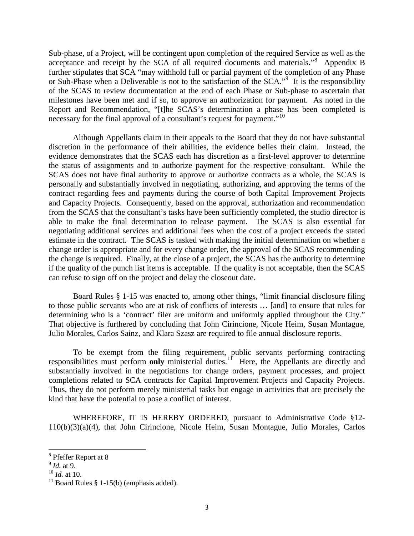Sub-phase, of a Project, will be contingent upon completion of the required Service as well as the acceptance and receipt by the SCA of all required documents and materials."<sup>[8](#page-2-0)</sup> Appendix B further stipulates that SCA "may withhold full or partial payment of the completion of any Phase or Sub-Phase when a Deliverable is not to the satisfaction of the SCA."<sup>[9](#page-2-1)</sup> It is the responsibility of the SCAS to review documentation at the end of each Phase or Sub-phase to ascertain that milestones have been met and if so, to approve an authorization for payment. As noted in the Report and Recommendation, "[t]he SCAS's determination a phase has been completed is necessary for the final approval of a consultant's request for payment."<sup>10</sup>

Although Appellants claim in their appeals to the Board that they do not have substantial discretion in the performance of their abilities, the evidence belies their claim. Instead, the evidence demonstrates that the SCAS each has discretion as a first-level approver to determine the status of assignments and to authorize payment for the respective consultant. While the SCAS does not have final authority to approve or authorize contracts as a whole, the SCAS is personally and substantially involved in negotiating, authorizing, and approving the terms of the contract regarding fees and payments during the course of both Capital Improvement Projects and Capacity Projects. Consequently, based on the approval, authorization and recommendation from the SCAS that the consultant's tasks have been sufficiently completed, the studio director is able to make the final determination to release payment. The SCAS is also essential for negotiating additional services and additional fees when the cost of a project exceeds the stated estimate in the contract. The SCAS is tasked with making the initial determination on whether a change order is appropriate and for every change order, the approval of the SCAS recommending the change is required. Finally, at the close of a project, the SCAS has the authority to determine if the quality of the punch list items is acceptable. If the quality is not acceptable, then the SCAS can refuse to sign off on the project and delay the closeout date.

Board Rules § 1-15 was enacted to, among other things, "limit financial disclosure filing to those public servants who are at risk of conflicts of interests … [and] to ensure that rules for determining who is a 'contract' filer are uniform and uniformly applied throughout the City." That objective is furthered by concluding that John Cirincione, Nicole Heim, Susan Montague, Julio Morales, Carlos Sainz, and Klara Szasz are required to file annual disclosure reports.

To be exempt from the filing requirement, public servants performing contracting responsibilities must perform **only** ministerial duties.<sup>11</sup> Here, the Appellants are directly and substantially involved in the negotiations for change orders, payment processes, and project completions related to SCA contracts for Capital Improvement Projects and Capacity Projects. Thus, they do not perform merely ministerial tasks but engage in activities that are precisely the kind that have the potential to pose a conflict of interest.

WHEREFORE, IT IS HEREBY ORDERED, pursuant to Administrative Code §12- 110(b)(3)(a)(4), that John Cirincione, Nicole Heim, Susan Montague, Julio Morales, Carlos

 $\overline{\phantom{a}}$ 

<span id="page-2-0"></span><sup>&</sup>lt;sup>8</sup> Pfeffer Report at 8

<span id="page-2-1"></span><sup>9</sup> *Id.* at 9.

<span id="page-2-2"></span><sup>10</sup> *Id.* at 10.

<span id="page-2-3"></span><sup>&</sup>lt;sup>11</sup> Board Rules § 1-15(b) (emphasis added).